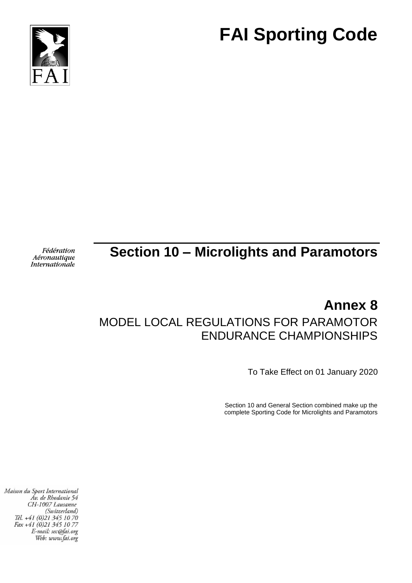



# Fédération Aéronautique Internationale

# **Section 10 – Microlights and Paramotors**

# **Annex 8** MODEL LOCAL REGULATIONS FOR PARAMOTOR ENDURANCE CHAMPIONSHIPS

To Take Effect on 01 January 2020

Section 10 and General Section combined make up the complete Sporting Code for Microlights and Paramotors

Maison du Sport International Áv. de Rhodanie 54 CH-1007 Lausanne (Switzerland) Tél. +41 (0)21 345 10 70<br>Fax +41 (0)21 345 10 77 E-mail: sec@fai.org Web: www.fai.org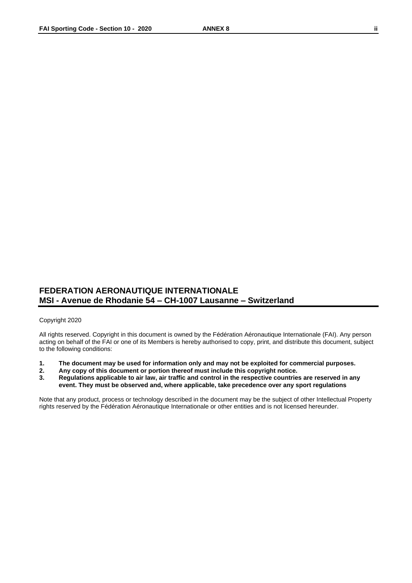# **FEDERATION AERONAUTIQUE INTERNATIONALE MSI - Avenue de Rhodanie 54 – CH-1007 Lausanne – Switzerland**

#### Copyright 2020

All rights reserved. Copyright in this document is owned by the Fédération Aéronautique Internationale (FAI). Any person acting on behalf of the FAI or one of its Members is hereby authorised to copy, print, and distribute this document, subject to the following conditions:

- **1. The document may be used for information only and may not be exploited for commercial purposes.**
- **2. Any copy of this document or portion thereof must include this copyright notice.**
- **3. Regulations applicable to air law, air traffic and control in the respective countries are reserved in any event. They must be observed and, where applicable, take precedence over any sport regulations**

Note that any product, process or technology described in the document may be the subject of other Intellectual Property rights reserved by the Fédération Aéronautique Internationale or other entities and is not licensed hereunder.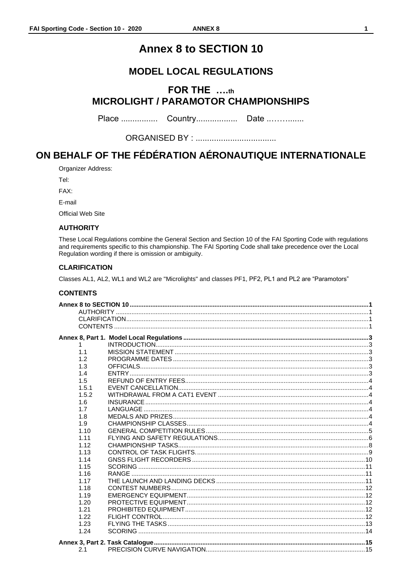#### $\mathbf{1}$

# **Annex 8 to SECTION 10**

# **MODEL LOCAL REGULATIONS**

# <span id="page-2-0"></span>FOR THE ....th **MICROLIGHT / PARAMOTOR CHAMPIONSHIPS**

# ON BEHALF OF THE FÉDÉRATION AÉRONAUTIQUE INTERNATIONALE

Organizer Address:

Tel:

FAX:

E-mail

<span id="page-2-1"></span>Official Web Site

# **AUTHORITY**

These Local Regulations combine the General Section and Section 10 of the FAI Sporting Code with regulations and requirements specific to this championship. The FAI Sporting Code shall take precedence over the Local Regulation wording if there is omission or ambiguity.

# <span id="page-2-2"></span>**CLARIFICATION**

Classes AL1, AL2, WL1 and WL2 are "Microlights" and classes PF1, PF2, PL1 and PL2 are "Paramotors"

# <span id="page-2-3"></span>**CONTENTS**

| 1     |  |
|-------|--|
| 1.1   |  |
| 1.2   |  |
| 1.3   |  |
| 1.4   |  |
| 1.5   |  |
| 1.5.1 |  |
| 1.5.2 |  |
| 1.6   |  |
| 1.7   |  |
| 1.8   |  |
| 1.9   |  |
| 1.10  |  |
| 1.11  |  |
| 1.12  |  |
| 1.13  |  |
| 1.14  |  |
| 1.15  |  |
| 1.16  |  |
| 1.17  |  |
| 1.18  |  |
| 1.19  |  |
| 1.20  |  |
| 1.21  |  |
| 1.22  |  |
| 1.23  |  |
| 1.24  |  |
|       |  |
| 2.1   |  |
|       |  |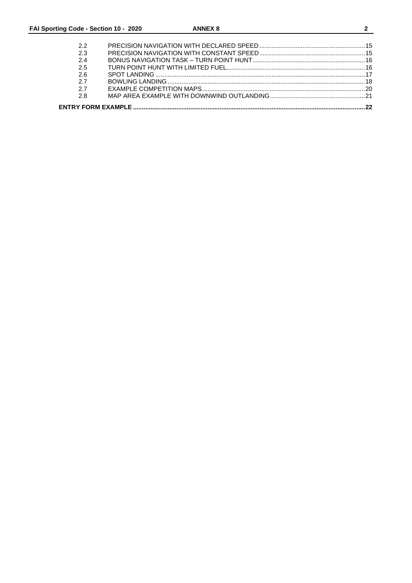| っっ  |  |
|-----|--|
| 23  |  |
| 2.4 |  |
| 2.5 |  |
| 2.6 |  |
| 27  |  |
| 27  |  |
| 28  |  |
|     |  |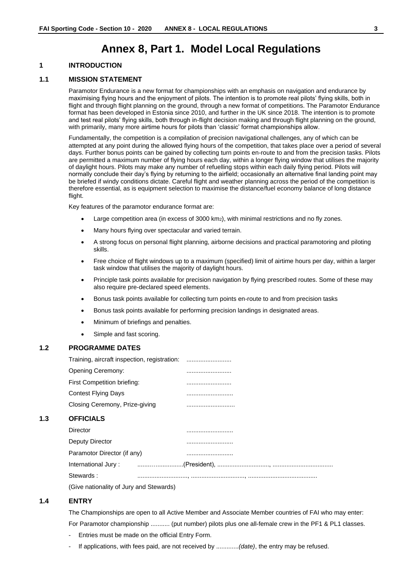# **Annex 8, Part 1. Model Local Regulations**

# <span id="page-4-1"></span><span id="page-4-0"></span>**1 INTRODUCTION**

#### <span id="page-4-2"></span>**1.1 MISSION STATEMENT**

Paramotor Endurance is a new format for championships with an emphasis on navigation and endurance by maximising flying hours and the enjoyment of pilots. The intention is to promote real pilots' flying skills, both in flight and through flight planning on the ground, through a new format of competitions. The Paramotor Endurance format has been developed in Estonia since 2010, and further in the UK since 2018. The intention is to promote and test real pilots' flying skills, both through in-flight decision making and through flight planning on the ground, with primarily, many more airtime hours for pilots than 'classic' format championships allow.

Fundamentally, the competition is a compilation of precision navigational challenges, any of which can be attempted at any point during the allowed flying hours of the competition, that takes place over a period of several days. Further bonus points can be gained by collecting turn points en-route to and from the precision tasks. Pilots are permitted a maximum number of flying hours each day, within a longer flying window that utilises the majority of daylight hours. Pilots may make any number of refuelling stops within each daily flying period. Pilots will normally conclude their day's flying by returning to the airfield; occasionally an alternative final landing point may be briefed if windy conditions dictate. Careful flight and weather planning across the period of the competition is therefore essential, as is equipment selection to maximise the distance/fuel economy balance of long distance flight.

Key features of the paramotor endurance format are:

- Large competition area (in excess of 3000 km2), with minimal restrictions and no fly zones.
- Many hours flying over spectacular and varied terrain.
- A strong focus on personal flight planning, airborne decisions and practical paramotoring and piloting skills.
- Free choice of flight windows up to a maximum (specified) limit of airtime hours per day, within a larger task window that utilises the majority of daylight hours.
- Principle task points available for precision navigation by flying prescribed routes. Some of these may also require pre-declared speed elements.
- Bonus task points available for collecting turn points en-route to and from precision tasks
- Bonus task points available for performing precision landings in designated areas.
- Minimum of briefings and penalties.
- Simple and fast scoring.

# <span id="page-4-3"></span>**1.2 PROGRAMME DATES**

| Training, aircraft inspection, registration:   |  |
|------------------------------------------------|--|
| Opening Ceremony:                              |  |
| First Competition briefing:                    |  |
| <b>Contest Flying Days</b>                     |  |
| Closing Ceremony, Prize-giving                 |  |
| <b>OFFICIALS</b>                               |  |
| Director                                       |  |
| Deputy Director                                |  |
| Paramotor Director (if any)                    |  |
| International Jury:                            |  |
| Stewards:                                      |  |
| $(C_{nR}$ notionality of $L_{nR}$ and $C_{nR}$ |  |

(Give nationality of Jury and Stewards)

#### <span id="page-4-5"></span>**1.4 ENTRY**

<span id="page-4-4"></span>**1.3 OFFICIALS** 

The Championships are open to all Active Member and Associate Member countries of FAI who may enter:

For Paramotor championship ........... (put number) pilots plus one all-female crew in the PF1 & PL1 classes.

- Entries must be made on the official Entry Form.
- If applications, with fees paid, are not received by .............*(date)*, the entry may be refused.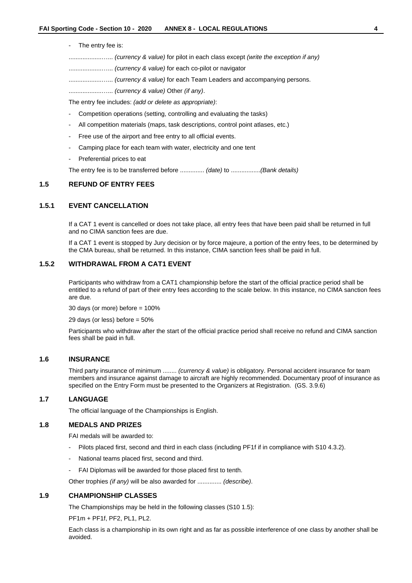#### The entry fee is:

...................…... *(currency & value)* for pilot in each class except *(write the exception if any)*

- ...................…... *(currency & value)* for each co-pilot or navigator
- ...................…... *(currency & value)* for each Team Leaders and accompanying persons.
- ...................…... *(currency & value)* Other *(if any)*.

The entry fee includes: *(add or delete as appropriate)*:

- Competition operations (setting, controlling and evaluating the tasks)
- All competition materials (maps, task descriptions, control point atlases, etc.)
- Free use of the airport and free entry to all official events.
- Camping place for each team with water, electricity and one tent
- Preferential prices to eat

The entry fee is to be transferred before .............. *(date)* to .................*(Bank details)*

#### <span id="page-5-0"></span>**1.5 REFUND OF ENTRY FEES**

# <span id="page-5-1"></span>**1.5.1 EVENT CANCELLATION**

If a CAT 1 event is cancelled or does not take place, all entry fees that have been paid shall be returned in full and no CIMA sanction fees are due.

If a CAT 1 event is stopped by Jury decision or by force majeure, a portion of the entry fees, to be determined by the CMA bureau, shall be returned. In this instance, CIMA sanction fees shall be paid in full.

# <span id="page-5-2"></span>**1.5.2 WITHDRAWAL FROM A CAT1 EVENT**

Participants who withdraw from a CAT1 championship before the start of the official practice period shall be entitled to a refund of part of their entry fees according to the scale below. In this instance, no CIMA sanction fees are due.

30 days (or more) before = 100%

29 days (or less) before = 50%

Participants who withdraw after the start of the official practice period shall receive no refund and CIMA sanction fees shall be paid in full.

#### <span id="page-5-3"></span>**1.6 INSURANCE**

Third party insurance of minimum ........ *(currency & value)* is obligatory. Personal accident insurance for team members and insurance against damage to aircraft are highly recommended. Documentary proof of insurance as specified on the Entry Form must be presented to the Organizers at Registration. (GS. 3.9.6)

# <span id="page-5-4"></span>**1.7 LANGUAGE**

The official language of the Championships is English.

# <span id="page-5-5"></span>**1.8 MEDALS AND PRIZES**

FAI medals will be awarded to:

- Pilots placed first, second and third in each class (including PF1f if in compliance with S10 4.3.2).
- National teams placed first, second and third.
- FAI Diplomas will be awarded for those placed first to tenth.

Other trophies *(if any)* will be also awarded for .............. *(describe)*.

#### <span id="page-5-6"></span>**1.9 CHAMPIONSHIP CLASSES**

The Championships may be held in the following classes (S10 1.5):

PF1m + PF1f, PF2, PL1, PL2.

Each class is a championship in its own right and as far as possible interference of one class by another shall be avoided.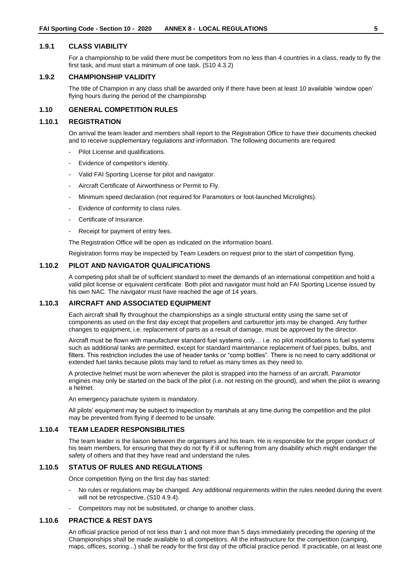#### **1.9.1 CLASS VIABILITY**

For a championship to be valid there must be competitors from no less than 4 countries in a class, ready to fly the first task, and must start a minimum of one task. (S10 4.3.2)

# **1.9.2 CHAMPIONSHIP VALIDITY**

The title of Champion in any class shall be awarded only if there have been at least 10 available 'window open' flying hours during the period of the championship

# <span id="page-6-0"></span>**1.10 GENERAL COMPETITION RULES**

### **1.10.1 REGISTRATION**

On arrival the team leader and members shall report to the Registration Office to have their documents checked and to receive supplementary regulations and information. The following documents are required:

- Pilot License and qualifications.
- Evidence of competitor's identity.
- Valid FAI Sporting License for pilot and navigator.
- Aircraft Certificate of Airworthiness or Permit to Fly.
- Minimum speed declaration (not required for Paramotors or foot-launched Microlights).
- Evidence of conformity to class rules.
- Certificate of Insurance.
- Receipt for payment of entry fees.

The Registration Office will be open as indicated on the information board.

Registration forms may be inspected by Team Leaders on request prior to the start of competition flying.

# **1.10.2 PILOT AND NAVIGATOR QUALIFICATIONS**

A competing pilot shall be of sufficient standard to meet the demands of an international competition and hold a valid pilot license or equivalent certificate. Both pilot and navigator must hold an FAI Sporting License issued by his own NAC. The navigator must have reached the age of 14 years.

# **1.10.3 AIRCRAFT AND ASSOCIATED EQUIPMENT**

Each aircraft shall fly throughout the championships as a single structural entity using the same set of components as used on the first day except that propellers and carburettor jets may be changed. Any further changes to equipment, i.e. replacement of parts as a result of damage, must be approved by the director.

Aircraft must be flown with manufacturer standard fuel systems only… i.e. no pilot modifications to fuel systems such as additional tanks are permitted, except for standard maintenance replacement of fuel pipes, bulbs, and filters. This restriction includes the use of header tanks or "comp bottles". There is no need to carry additional or extended fuel tanks because pilots may land to refuel as many times as they need to.

A protective helmet must be worn whenever the pilot is strapped into the harness of an aircraft. Paramotor engines may only be started on the back of the pilot (i.e. not resting on the ground), and when the pilot is wearing a helmet.

An emergency parachute system is mandatory.

All pilots' equipment may be subject to inspection by marshals at any time during the competition and the pilot may be prevented from flying if deemed to be unsafe.

#### **1.10.4 TEAM LEADER RESPONSIBILITIES**

The team leader is the liaison between the organisers and his team. He is responsible for the proper conduct of his team members, for ensuring that they do not fly if ill or suffering from any disability which might endanger the safety of others and that they have read and understand the rules.

# **1.10.5 STATUS OF RULES AND REGULATIONS**

Once competition flying on the first day has started:

- No rules or regulations may be changed. Any additional requirements within the rules needed during the event will not be retrospective. (S10 4.9.4).
- Competitors may not be substituted, or change to another class.

# **1.10.6 PRACTICE & REST DAYS**

An official practice period of not less than 1 and not more than 5 days immediately preceding the opening of the Championships shall be made available to all competitors. All the infrastructure for the competition (camping, maps, offices, scoring...) shall be ready for the first day of the official practice period. If practicable, on at least one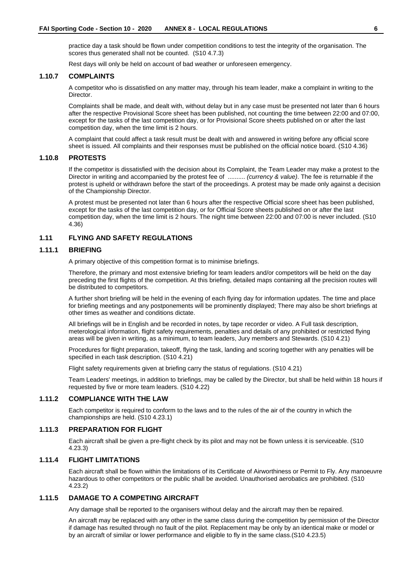practice day a task should be flown under competition conditions to test the integrity of the organisation. The scores thus generated shall not be counted. (S10 4.7.3)

Rest days will only be held on account of bad weather or unforeseen emergency.

#### **1.10.7 COMPLAINTS**

A competitor who is dissatisfied on any matter may, through his team leader, make a complaint in writing to the Director.

Complaints shall be made, and dealt with, without delay but in any case must be presented not later than 6 hours after the respective Provisional Score sheet has been published, not counting the time between 22:00 and 07:00, except for the tasks of the last competition day, or for Provisional Score sheets published on or after the last competition day, when the time limit is 2 hours.

A complaint that could affect a task result must be dealt with and answered in writing before any official score sheet is issued. All complaints and their responses must be published on the official notice board. (S10 4.36)

#### **1.10.8 PROTESTS**

If the competitor is dissatisfied with the decision about its Complaint, the Team Leader may make a protest to the Director in writing and accompanied by the protest fee of .......... *(currency & value)*. The fee is returnable if the protest is upheld or withdrawn before the start of the proceedings. A protest may be made only against a decision of the Championship Director.

A protest must be presented not later than 6 hours after the respective Official score sheet has been published, except for the tasks of the last competition day, or for Official Score sheets published on or after the last competition day, when the time limit is 2 hours. The night time between 22:00 and 07:00 is never included. (S10 4.36)

# <span id="page-7-0"></span>**1.11 FLYING AND SAFETY REGULATIONS**

#### **1.11.1 BRIEFING**

A primary objective of this competition format is to minimise briefings.

Therefore, the primary and most extensive briefing for team leaders and/or competitors will be held on the day preceding the first flights of the competition. At this briefing, detailed maps containing all the precision routes will be distributed to competitors.

A further short briefing will be held in the evening of each flying day for information updates. The time and place for briefing meetings and any postponements will be prominently displayed; There may also be short briefings at other times as weather and conditions dictate.

All briefings will be in English and be recorded in notes, by tape recorder or video. A Full task description, meterological information, flight safety requirements, penalties and details of any prohibited or restricted flying areas will be given in writing, as a minimum, to team leaders, Jury members and Stewards. (S10 4.21)

Procedures for flight preparation, takeoff, flying the task, landing and scoring together with any penalties will be specified in each task description. (S10 4.21)

Flight safety requirements given at briefing carry the status of regulations. (S10 4.21)

Team Leaders' meetings, in addition to briefings, may be called by the Director, but shall be held within 18 hours if requested by five or more team leaders. (S10 4.22)

# **1.11.2 COMPLIANCE WITH THE LAW**

Each competitor is required to conform to the laws and to the rules of the air of the country in which the championships are held. (S10 4.23.1)

# **1.11.3 PREPARATION FOR FLIGHT**

Each aircraft shall be given a pre-flight check by its pilot and may not be flown unless it is serviceable. (S10 4.23.3)

# **1.11.4 FLIGHT LIMITATIONS**

Each aircraft shall be flown within the limitations of its Certificate of Airworthiness or Permit to Fly. Any manoeuvre hazardous to other competitors or the public shall be avoided. Unauthorised aerobatics are prohibited. (S10 4.23.2)

# **1.11.5 DAMAGE TO A COMPETING AIRCRAFT**

Any damage shall be reported to the organisers without delay and the aircraft may then be repaired.

An aircraft may be replaced with any other in the same class during the competition by permission of the Director if damage has resulted through no fault of the pilot. Replacement may be only by an identical make or model or by an aircraft of similar or lower performance and eligible to fly in the same class.(S10 4.23.5)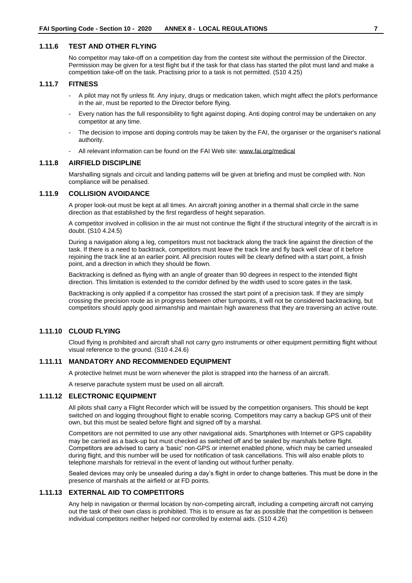#### **1.11.6 TEST AND OTHER FLYING**

No competitor may take-off on a competition day from the contest site without the permission of the Director. Permission may be given for a test flight but if the task for that class has started the pilot must land and make a competition take-off on the task. Practising prior to a task is not permitted. (S10 4.25)

#### **1.11.7 FITNESS**

- A pilot may not fly unless fit. Any injury, drugs or medication taken, which might affect the pilot's performance in the air, must be reported to the Director before flying.
- Every nation has the full responsibility to fight against doping. Anti doping control may be undertaken on any competitor at any time.
- The decision to impose anti doping controls may be taken by the FAI, the organiser or the organiser's national authority.
- All relevant information can be found on the FAI Web site: [www.fai.org/medical](http://www.fai.org/medical)

### **1.11.8 AIRFIELD DISCIPLINE**

Marshalling signals and circuit and landing patterns will be given at briefing and must be complied with. Non compliance will be penalised.

#### **1.11.9 COLLISION AVOIDANCE**

A proper look-out must be kept at all times. An aircraft joining another in a thermal shall circle in the same direction as that established by the first regardless of height separation.

A competitor involved in collision in the air must not continue the flight if the structural integrity of the aircraft is in doubt. (S10 4.24.5)

During a navigation along a leg, competitors must not backtrack along the track line against the direction of the task. If there is a need to backtrack, competitors must leave the track line and fly back well clear of it before rejoining the track line at an earlier point. All precision routes will be clearly defined with a start point, a finish point, and a direction in which they should be flown.

Backtracking is defined as flying with an angle of greater than 90 degrees in respect to the intended flight direction. This limitation is extended to the corridor defined by the width used to score gates in the task.

Backtracking is only applied if a competitor has crossed the start point of a precision task. If they are simply crossing the precision route as in progress between other turnpoints, it will not be considered backtracking, but competitors should apply good airmanship and maintain high awareness that they are traversing an active route.

# **1.11.10 CLOUD FLYING**

Cloud flying is prohibited and aircraft shall not carry gyro instruments or other equipment permitting flight without visual reference to the ground. (S10 4.24.6)

#### **1.11.11 MANDATORY AND RECOMMENDED EQUIPMENT**

A protective helmet must be worn whenever the pilot is strapped into the harness of an aircraft.

A reserve parachute system must be used on all aircraft.

#### **1.11.12 ELECTRONIC EQUIPMENT**

All pilots shall carry a Flight Recorder which will be issued by the competition organisers. This should be kept switched on and logging throughout flight to enable scoring. Competitors may carry a backup GPS unit of their own, but this must be sealed before flight and signed off by a marshal.

Competitors are not permitted to use any other navigational aids. Smartphones with Internet or GPS capability may be carried as a back-up but must checked as switched off and be sealed by marshals before flight. Competitors are advised to carry a 'basic' non-GPS or internet enabled phone, which may be carried unsealed during flight, and this number will be used for notification of task cancellations. This will also enable pilots to telephone marshals for retrieval in the event of landing out without further penalty.

Sealed devices may only be unsealed during a day's flight in order to change batteries. This must be done in the presence of marshals at the airfield or at FD points.

# **1.11.13 EXTERNAL AID TO COMPETITORS**

Any help in navigation or thermal location by non-competing aircraft, including a competing aircraft not carrying out the task of their own class is prohibited. This is to ensure as far as possible that the competition is between individual competitors neither helped nor controlled by external aids. (S10 4.26)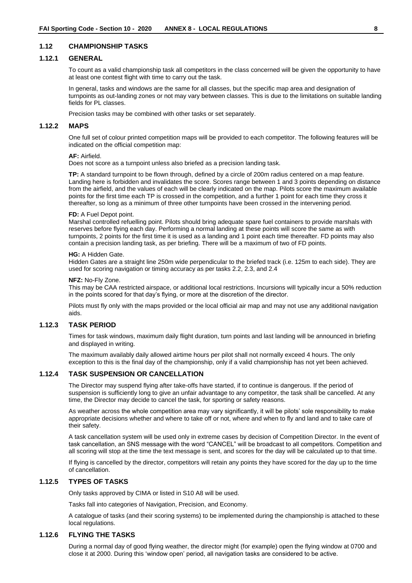# <span id="page-9-0"></span>**1.12 CHAMPIONSHIP TASKS**

#### **1.12.1 GENERAL**

To count as a valid championship task all competitors in the class concerned will be given the opportunity to have at least one contest flight with time to carry out the task.

In general, tasks and windows are the same for all classes, but the specific map area and designation of turnpoints as out-landing zones or not may vary between classes. This is due to the limitations on suitable landing fields for PL classes.

Precision tasks may be combined with other tasks or set separately.

#### **1.12.2 MAPS**

One full set of colour printed competition maps will be provided to each competitor. The following features will be indicated on the official competition map:

#### **AF:** Airfield.

Does not score as a turnpoint unless also briefed as a precision landing task.

**TP:** A standard turnpoint to be flown through, defined by a circle of 200m radius centered on a map feature. Landing here is forbidden and invalidates the score. Scores range between 1 and 3 points depending on distance from the airfield, and the values of each will be clearly indicated on the map. Pilots score the maximum available points for the first time each TP is crossed in the competition, and a further 1 point for each time they cross it thereafter, so long as a minimum of three other turnpoints have been crossed in the intervening period.

#### **FD:** A Fuel Depot point.

Marshal controlled refuelling point. Pilots should bring adequate spare fuel containers to provide marshals with reserves before flying each day. Performing a normal landing at these points will score the same as with turnpoints, 2 points for the first time it is used as a landing and 1 point each time thereafter. FD points may also contain a precision landing task, as per briefing. There will be a maximum of two of FD points.

#### **HG:** A Hidden Gate.

Hidden Gates are a straight line 250m wide perpendicular to the briefed track (i.e. 125m to each side). They are used for scoring navigation or timing accuracy as per tasks 2.2, 2.3, and 2.4

#### **NFZ:** No-Fly Zone.

This may be CAA restricted airspace, or additional local restrictions. Incursions will typically incur a 50% reduction in the points scored for that day's flying, or more at the discretion of the director.

Pilots must fly only with the maps provided or the local official air map and may not use any additional navigation aids.

#### **1.12.3 TASK PERIOD**

Times for task windows, maximum daily flight duration, turn points and last landing will be announced in briefing and displayed in writing.

The maximum availably daily allowed airtime hours per pilot shall not normally exceed 4 hours. The only exception to this is the final day of the championship, only if a valid championship has not yet been achieved.

# **1.12.4 TASK SUSPENSION OR CANCELLATION**

The Director may suspend flying after take-offs have started, if to continue is dangerous. If the period of suspension is sufficiently long to give an unfair advantage to any competitor, the task shall be cancelled. At any time, the Director may decide to cancel the task, for sporting or safety reasons.

As weather across the whole competition area may vary significantly, it will be pilots' sole responsibility to make appropriate decisions whether and where to take off or not, where and when to fly and land and to take care of their safety.

A task cancellation system will be used only in extreme cases by decision of Competition Director. In the event of task cancellation, an SNS message with the word "CANCEL" will be broadcast to all competitors. Competition and all scoring will stop at the time the text message is sent, and scores for the day will be calculated up to that time.

If flying is cancelled by the director, competitors will retain any points they have scored for the day up to the time of cancellation.

#### **1.12.5 TYPES OF TASKS**

Only tasks approved by CIMA or listed in S10 A8 will be used.

Tasks fall into categories of Navigation, Precision, and Economy.

A catalogue of tasks (and their scoring systems) to be implemented during the championship is attached to these local regulations.

#### **1.12.6 FLYING THE TASKS**

During a normal day of good flying weather, the director might (for example) open the flying window at 0700 and close it at 2000. During this 'window open' period, all navigation tasks are considered to be active.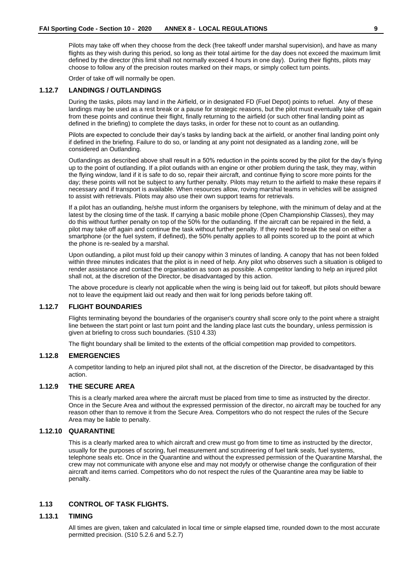Pilots may take off when they choose from the deck (free takeoff under marshal supervision), and have as many flights as they wish during this period, so long as their total airtime for the day does not exceed the maximum limit defined by the director (this limit shall not normally exceed 4 hours in one day). During their flights, pilots may choose to follow any of the precision routes marked on their maps, or simply collect turn points.

Order of take off will normally be open.

# **1.12.7 LANDINGS / OUTLANDINGS**

During the tasks, pilots may land in the Airfield, or in designated FD (Fuel Depot) points to refuel. Any of these landings may be used as a rest break or a pause for strategic reasons, but the pilot must eventually take off again from these points and continue their flight, finally returning to the airfield (or such other final landing point as defined in the briefing) to complete the days tasks, in order for these not to count as an outlanding.

Pilots are expected to conclude their day's tasks by landing back at the airfield, or another final landing point only if defined in the briefing. Failure to do so, or landing at any point not designated as a landing zone, will be considered an Outlanding.

Outlandings as described above shall result in a 50% reduction in the points scored by the pilot for the day's flying up to the point of outlanding. If a pilot outlands with an engine or other problem during the task, they may, within the flying window, land if it is safe to do so, repair their aircraft, and continue flying to score more points for the day; these points will not be subject to any further penalty. Pilots may return to the airfield to make these repairs if necessary and if transport is available. When resources allow, roving marshal teams in vehicles will be assigned to assist with retrievals. Pilots may also use their own support teams for retrievals.

If a pilot has an outlanding, he/she must inform the organisers by telephone, with the minimum of delay and at the latest by the closing time of the task. If carrying a basic mobile phone (Open Championship Classes), they may do this without further penalty on top of the 50% for the outlanding. If the aircraft can be repaired in the field, a pilot may take off again and continue the task without further penalty. If they need to break the seal on either a smartphone (or the fuel system, if defined), the 50% penalty applies to all points scored up to the point at which the phone is re-sealed by a marshal.

Upon outlanding, a pilot must fold up their canopy within 3 minutes of landing. A canopy that has not been folded within three minutes indicates that the pilot is in need of help. Any pilot who observes such a situation is obliged to render assistance and contact the organisation as soon as possible. A competitor landing to help an injured pilot shall not, at the discretion of the Director, be disadvantaged by this action.

The above procedure is clearly not applicable when the wing is being laid out for takeoff, but pilots should beware not to leave the equipment laid out ready and then wait for long periods before taking off.

# **1.12.7 FLIGHT BOUNDARIES**

Flights terminating beyond the boundaries of the organiser's country shall score only to the point where a straight line between the start point or last turn point and the landing place last cuts the boundary, unless permission is given at briefing to cross such boundaries. (S10 4.33)

The flight boundary shall be limited to the extents of the official competition map provided to competitors.

# **1.12.8 EMERGENCIES**

A competitor landing to help an injured pilot shall not, at the discretion of the Director, be disadvantaged by this action.

# **1.12.9 THE SECURE AREA**

This is a clearly marked area where the aircraft must be placed from time to time as instructed by the director. Once in the Secure Area and without the expressed permission of the director, no aircraft may be touched for any reason other than to remove it from the Secure Area. Competitors who do not respect the rules of the Secure Area may be liable to penalty.

#### **1.12.10 QUARANTINE**

This is a clearly marked area to which aircraft and crew must go from time to time as instructed by the director, usually for the purposes of scoring, fuel measurement and scrutineering of fuel tank seals, fuel systems, telephone seals etc. Once in the Quarantine and without the expressed permission of the Quarantine Marshal, the crew may not communicate with anyone else and may not modyfy or otherwise change the configuration of their aircraft and items carried. Competitors who do not respect the rules of the Quarantine area may be liable to penalty.

# <span id="page-10-0"></span>**1.13 CONTROL OF TASK FLIGHTS.**

#### **1.13.1 TIMING**

All times are given, taken and calculated in local time or simple elapsed time, rounded down to the most accurate permitted precision. (S10 5.2.6 and 5.2.7)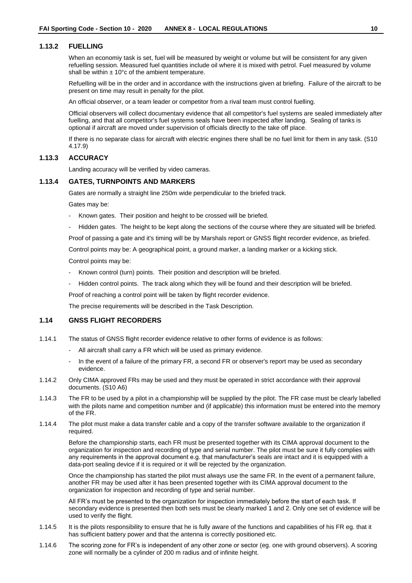### **1.13.2 FUELLING**

When an economiy task is set, fuel will be measured by weight or volume but will be consistent for any given refuelling session. Measured fuel quantities include oil where it is mixed with petrol. Fuel measured by volume shall be within  $\pm$  10°c of the ambient temperature.

Refuelling will be in the order and in accordance with the instructions given at briefing. Failure of the aircraft to be present on time may result in penalty for the pilot.

An official observer, or a team leader or competitor from a rival team must control fuelling.

Official observers will collect documentary evidence that all competitor's fuel systems are sealed immediately after fuelling, and that all competitor's fuel systems seals have been inspected after landing. Sealing of tanks is optional if aircraft are moved under supervision of officials directly to the take off place.

If there is no separate class for aircraft with electric engines there shall be no fuel limit for them in any task. (S10 4.17.9)

#### **1.13.3 ACCURACY**

Landing accuracy will be verified by video cameras.

#### **1.13.4 GATES, TURNPOINTS AND MARKERS**

Gates are normally a straight line 250m wide perpendicular to the briefed track.

Gates may be:

- Known gates. Their position and height to be crossed will be briefed.
- Hidden gates. The height to be kept along the sections of the course where they are situated will be briefed.

Proof of passing a gate and it's timing will be by Marshals report or GNSS flight recorder evidence, as briefed.

Control points may be: A geographical point, a ground marker, a landing marker or a kicking stick.

Control points may be:

- Known control (turn) points. Their position and description will be briefed.
- Hidden control points. The track along which they will be found and their description will be briefed.

Proof of reaching a control point will be taken by flight recorder evidence.

The precise requirements will be described in the Task Description.

#### <span id="page-11-0"></span>**1.14 GNSS FLIGHT RECORDERS**

- 1.14.1 The status of GNSS flight recorder evidence relative to other forms of evidence is as follows:
	- All aircraft shall carry a FR which will be used as primary evidence.
	- In the event of a failure of the primary FR, a second FR or observer's report may be used as secondary evidence.
- 1.14.2 Only CIMA approved FRs may be used and they must be operated in strict accordance with their approval documents. (S10 A6)
- 1.14.3 The FR to be used by a pilot in a championship will be supplied by the pilot. The FR case must be clearly labelled with the pilots name and competition number and (if applicable) this information must be entered into the memory of the FR.
- 1.14.4 The pilot must make a data transfer cable and a copy of the transfer software available to the organization if required.

Before the championship starts, each FR must be presented together with its CIMA approval document to the organization for inspection and recording of type and serial number. The pilot must be sure it fully complies with any requirements in the approval document e.g. that manufacturer's seals are intact and it is equipped with a data-port sealing device if it is required or it will be rejected by the organization.

Once the championship has started the pilot must always use the same FR. In the event of a permanent failure, another FR may be used after it has been presented together with its CIMA approval document to the organization for inspection and recording of type and serial number.

All FR's must be presented to the organization for inspection immediately before the start of each task. If secondary evidence is presented then both sets must be clearly marked 1 and 2. Only one set of evidence will be used to verify the flight.

- 1.14.5 It is the pilots responsibility to ensure that he is fully aware of the functions and capabilities of his FR eg. that it has sufficient battery power and that the antenna is correctly positioned etc.
- 1.14.6 The scoring zone for FR's is independent of any other zone or sector (eg. one with ground observers). A scoring zone will normally be a cylinder of 200 m radius and of infinite height.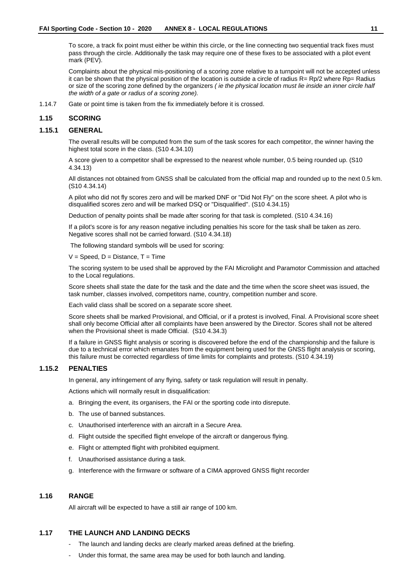To score, a track fix point must either be within this circle, or the line connecting two sequential track fixes must pass through the circle. Additionally the task may require one of these fixes to be associated with a pilot event mark (PEV).

Complaints about the physical mis-positioning of a scoring zone relative to a turnpoint will not be accepted unless it can be shown that the physical position of the location is outside a circle of radius R= Rp/2 where Rp= Radius or size of the scoring zone defined by the organizers *( ie the physical location must lie inside an inner circle half the width of a gate or radius of a scoring zone).*

1.14.7 Gate or point time is taken from the fix immediately before it is crossed.

# <span id="page-12-0"></span>**1.15 SCORING**

#### **1.15.1 GENERAL**

The overall results will be computed from the sum of the task scores for each competitor, the winner having the highest total score in the class. (S10 4.34.10)

A score given to a competitor shall be expressed to the nearest whole number, 0.5 being rounded up. (S10 4.34.13)

All distances not obtained from GNSS shall be calculated from the official map and rounded up to the next 0.5 km. (S10 4.34.14)

A pilot who did not fly scores zero and will be marked DNF or "Did Not Fly" on the score sheet. A pilot who is disqualified scores zero and will be marked DSQ or "Disqualified". (S10 4.34.15)

Deduction of penalty points shall be made after scoring for that task is completed. (S10 4.34.16)

If a pilot's score is for any reason negative including penalties his score for the task shall be taken as zero. Negative scores shall not be carried forward. (S10 4.34.18)

The following standard symbols will be used for scoring:

 $V =$  Speed,  $D =$  Distance,  $T =$  Time

The scoring system to be used shall be approved by the FAI Microlight and Paramotor Commission and attached to the Local regulations.

Score sheets shall state the date for the task and the date and the time when the score sheet was issued, the task number, classes involved, competitors name, country, competition number and score.

Each valid class shall be scored on a separate score sheet.

Score sheets shall be marked Provisional, and Official, or if a protest is involved, Final. A Provisional score sheet shall only become Official after all complaints have been answered by the Director. Scores shall not be altered when the Provisional sheet is made Official. (S10 4.34.3)

If a failure in GNSS flight analysis or scoring is discovered before the end of the championship and the failure is due to a technical error which emanates from the equipment being used for the GNSS flight analysis or scoring, this failure must be corrected regardless of time limits for complaints and protests. (S10 4.34.19)

# **1.15.2 PENALTIES**

In general, any infringement of any flying, safety or task regulation will result in penalty.

Actions which will normally result in disqualification:

- a. Bringing the event, its organisers, the FAI or the sporting code into disrepute.
- b. The use of banned substances.
- c. Unauthorised interference with an aircraft in a Secure Area.
- d. Flight outside the specified flight envelope of the aircraft or dangerous flying.
- e. Flight or attempted flight with prohibited equipment.
- f. Unauthorised assistance during a task.
- g. Interference with the firmware or software of a CIMA approved GNSS flight recorder

# <span id="page-12-1"></span>**1.16 RANGE**

All aircraft will be expected to have a still air range of 100 km.

### <span id="page-12-2"></span>**1.17 THE LAUNCH AND LANDING DECKS**

- The launch and landing decks are clearly marked areas defined at the briefing.
- Under this format, the same area may be used for both launch and landing.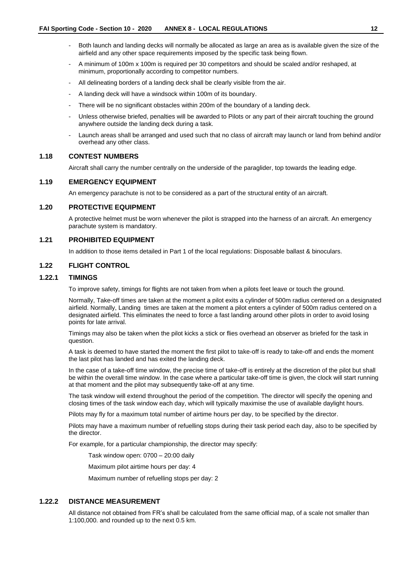- Both launch and landing decks will normally be allocated as large an area as is available given the size of the airfield and any other space requirements imposed by the specific task being flown.
- A minimum of 100m x 100m is required per 30 competitors and should be scaled and/or reshaped, at minimum, proportionally according to competitor numbers.
- All delineating borders of a landing deck shall be clearly visible from the air.
- A landing deck will have a windsock within 100m of its boundary.
- There will be no significant obstacles within 200m of the boundary of a landing deck.
- Unless otherwise briefed, penalties will be awarded to Pilots or any part of their aircraft touching the ground anywhere outside the landing deck during a task.
- Launch areas shall be arranged and used such that no class of aircraft may launch or land from behind and/or overhead any other class.

# <span id="page-13-0"></span>**1.18 CONTEST NUMBERS**

Aircraft shall carry the number centrally on the underside of the paraglider, top towards the leading edge.

#### <span id="page-13-1"></span>**1.19 EMERGENCY EQUIPMENT**

An emergency parachute is not to be considered as a part of the structural entity of an aircraft.

### <span id="page-13-2"></span>**1.20 PROTECTIVE EQUIPMENT**

A protective helmet must be worn whenever the pilot is strapped into the harness of an aircraft. An emergency parachute system is mandatory.

# <span id="page-13-3"></span>**1.21 PROHIBITED EQUIPMENT**

In addition to those items detailed in Part 1 of the local regulations: Disposable ballast & binoculars.

# <span id="page-13-4"></span>**1.22 FLIGHT CONTROL**

# **1.22.1 TIMINGS**

To improve safety, timings for flights are not taken from when a pilots feet leave or touch the ground.

Normally, Take-off times are taken at the moment a pilot exits a cylinder of 500m radius centered on a designated airfield. Normally, Landing times are taken at the moment a pilot enters a cylinder of 500m radius centered on a designated airfield. This eliminates the need to force a fast landing around other pilots in order to avoid losing points for late arrival.

Timings may also be taken when the pilot kicks a stick or flies overhead an observer as briefed for the task in question.

A task is deemed to have started the moment the first pilot to take-off is ready to take-off and ends the moment the last pilot has landed and has exited the landing deck.

In the case of a take-off time window, the precise time of take-off is entirely at the discretion of the pilot but shall be within the overall time window. In the case where a particular take-off time is given, the clock will start running at that moment and the pilot may subsequently take-off at any time.

The task window will extend throughout the period of the competition. The director will specify the opening and closing times of the task window each day, which will typically maximise the use of available daylight hours.

Pilots may fly for a maximum total number of airtime hours per day, to be specified by the director.

Pilots may have a maximum number of refuelling stops during their task period each day, also to be specified by the director.

For example, for a particular championship, the director may specify:

Task window open: 0700 – 20:00 daily

Maximum pilot airtime hours per day: 4

Maximum number of refuelling stops per day: 2

# **1.22.2 DISTANCE MEASUREMENT**

All distance not obtained from FR's shall be calculated from the same official map, of a scale not smaller than 1:100,000. and rounded up to the next 0.5 km.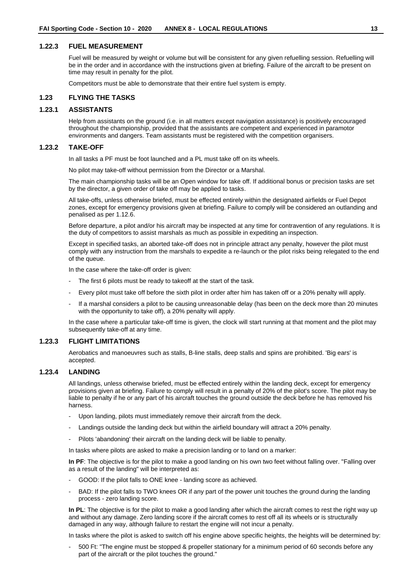#### **1.22.3 FUEL MEASUREMENT**

Fuel will be measured by weight or volume but will be consistent for any given refuelling session. Refuelling will be in the order and in accordance with the instructions given at briefing. Failure of the aircraft to be present on time may result in penalty for the pilot.

Competitors must be able to demonstrate that their entire fuel system is empty.

#### <span id="page-14-0"></span>**1.23 FLYING THE TASKS**

# **1.23.1 ASSISTANTS**

Help from assistants on the ground (i.e. in all matters except navigation assistance) is positively encouraged throughout the championship, provided that the assistants are competent and experienced in paramotor environments and dangers. Team assistants must be registered with the competition organisers.

#### **1.23.2 TAKE-OFF**

In all tasks a PF must be foot launched and a PL must take off on its wheels.

No pilot may take-off without permission from the Director or a Marshal.

The main championship tasks will be an Open window for take off. If additional bonus or precision tasks are set by the director, a given order of take off may be applied to tasks.

All take-offs, unless otherwise briefed, must be effected entirely within the designated airfields or Fuel Depot zones, except for emergency provisions given at briefing. Failure to comply will be considered an outlanding and penalised as per 1.12.6.

Before departure, a pilot and/or his aircraft may be inspected at any time for contravention of any regulations. It is the duty of competitors to assist marshals as much as possible in expediting an inspection.

Except in specified tasks, an aborted take-off does not in principle attract any penalty, however the pilot must comply with any instruction from the marshals to expedite a re-launch or the pilot risks being relegated to the end of the queue.

In the case where the take-off order is given:

- The first 6 pilots must be ready to takeoff at the start of the task.
- Every pilot must take off before the sixth pilot in order after him has taken off or a 20% penalty will apply.
- If a marshal considers a pilot to be causing unreasonable delay (has been on the deck more than 20 minutes with the opportunity to take off), a 20% penalty will apply.

In the case where a particular take-off time is given, the clock will start running at that moment and the pilot may subsequently take-off at any time.

# **1.23.3 FLIGHT LIMITATIONS**

Aerobatics and manoeuvres such as stalls, B-line stalls, deep stalls and spins are prohibited. 'Big ears' is accepted.

# **1.23.4 LANDING**

All landings, unless otherwise briefed, must be effected entirely within the landing deck, except for emergency provisions given at briefing. Failure to comply will result in a penalty of 20% of the pilot's score. The pilot may be liable to penalty if he or any part of his aircraft touches the ground outside the deck before he has removed his harness.

- Upon landing, pilots must immediately remove their aircraft from the deck.
- Landings outside the landing deck but within the airfield boundary will attract a 20% penalty.
- Pilots 'abandoning' their aircraft on the landing deck will be liable to penalty.

In tasks where pilots are asked to make a precision landing or to land on a marker:

**In PF**: The objective is for the pilot to make a good landing on his own two feet without falling over. "Falling over as a result of the landing" will be interpreted as:

- GOOD: If the pilot falls to ONE knee landing score as achieved.
- BAD: If the pilot falls to TWO knees OR if any part of the power unit touches the ground during the landing process - zero landing score.

**In PL**: The objective is for the pilot to make a good landing after which the aircraft comes to rest the right way up and without any damage. Zero landing score if the aircraft comes to rest off all its wheels or is structurally damaged in any way, although failure to restart the engine will not incur a penalty.

In tasks where the pilot is asked to switch off his engine above specific heights, the heights will be determined by:

- 500 Ft: "The engine must be stopped & propeller stationary for a minimum period of 60 seconds before any part of the aircraft or the pilot touches the ground."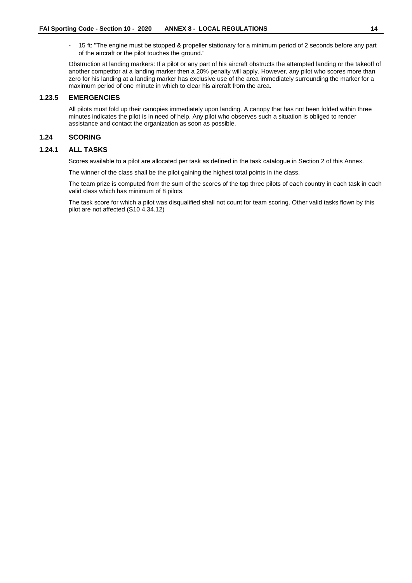- 15 ft: "The engine must be stopped & propeller stationary for a minimum period of 2 seconds before any part of the aircraft or the pilot touches the ground."

Obstruction at landing markers: If a pilot or any part of his aircraft obstructs the attempted landing or the takeoff of another competitor at a landing marker then a 20% penalty will apply. However, any pilot who scores more than zero for his landing at a landing marker has exclusive use of the area immediately surrounding the marker for a maximum period of one minute in which to clear his aircraft from the area.

#### **1.23.5 EMERGENCIES**

All pilots must fold up their canopies immediately upon landing. A canopy that has not been folded within three minutes indicates the pilot is in need of help. Any pilot who observes such a situation is obliged to render assistance and contact the organization as soon as possible.

# <span id="page-15-0"></span>**1.24 SCORING**

#### **1.24.1 ALL TASKS**

Scores available to a pilot are allocated per task as defined in the task catalogue in Section 2 of this Annex.

The winner of the class shall be the pilot gaining the highest total points in the class.

The team prize is computed from the sum of the scores of the top three pilots of each country in each task in each valid class which has minimum of 8 pilots.

The task score for which a pilot was disqualified shall not count for team scoring. Other valid tasks flown by this pilot are not affected (S10 4.34.12)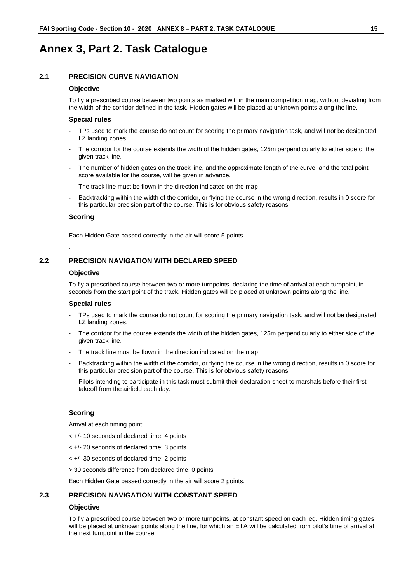# <span id="page-16-0"></span>**Annex 3, Part 2. Task Catalogue**

# <span id="page-16-1"></span>**2.1 PRECISION CURVE NAVIGATION**

#### **Objective**

To fly a prescribed course between two points as marked within the main competition map, without deviating from the width of the corridor defined in the task. Hidden gates will be placed at unknown points along the line.

# **Special rules**

- TPs used to mark the course do not count for scoring the primary navigation task, and will not be designated LZ landing zones.
- The corridor for the course extends the width of the hidden gates, 125m perpendicularly to either side of the given track line.
- The number of hidden gates on the track line, and the approximate length of the curve, and the total point score available for the course, will be given in advance.
- The track line must be flown in the direction indicated on the map
- Backtracking within the width of the corridor, or flying the course in the wrong direction, results in 0 score for this particular precision part of the course. This is for obvious safety reasons.

#### **Scoring**

.

Each Hidden Gate passed correctly in the air will score 5 points.

# <span id="page-16-2"></span>**2.2 PRECISION NAVIGATION WITH DECLARED SPEED**

#### **Objective**

To fly a prescribed course between two or more turnpoints, declaring the time of arrival at each turnpoint, in seconds from the start point of the track. Hidden gates will be placed at unknown points along the line.

#### **Special rules**

- TPs used to mark the course do not count for scoring the primary navigation task, and will not be designated LZ landing zones.
- The corridor for the course extends the width of the hidden gates, 125m perpendicularly to either side of the given track line.
- The track line must be flown in the direction indicated on the map
- Backtracking within the width of the corridor, or flying the course in the wrong direction, results in 0 score for this particular precision part of the course. This is for obvious safety reasons.
- Pilots intending to participate in this task must submit their declaration sheet to marshals before their first takeoff from the airfield each day.

# **Scoring**

Arrival at each timing point:

- < +/- 10 seconds of declared time: 4 points
- < +/- 20 seconds of declared time: 3 points
- < +/- 30 seconds of declared time: 2 points
- > 30 seconds difference from declared time: 0 points

Each Hidden Gate passed correctly in the air will score 2 points.

# <span id="page-16-3"></span>**2.3 PRECISION NAVIGATION WITH CONSTANT SPEED**

#### **Objective**

To fly a prescribed course between two or more turnpoints, at constant speed on each leg. Hidden timing gates will be placed at unknown points along the line, for which an ETA will be calculated from pilot's time of arrival at the next turnpoint in the course.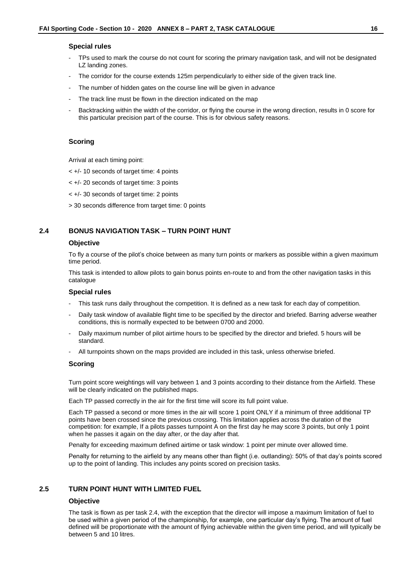#### **Special rules**

- TPs used to mark the course do not count for scoring the primary navigation task, and will not be designated LZ landing zones.
- The corridor for the course extends 125m perpendicularly to either side of the given track line.
- The number of hidden gates on the course line will be given in advance
- The track line must be flown in the direction indicated on the map
- Backtracking within the width of the corridor, or flying the course in the wrong direction, results in 0 score for this particular precision part of the course. This is for obvious safety reasons.

#### **Scoring**

Arrival at each timing point:

- < +/- 10 seconds of target time: 4 points
- < +/- 20 seconds of target time: 3 points
- < +/- 30 seconds of target time: 2 points
- > 30 seconds difference from target time: 0 points

# <span id="page-17-0"></span>**2.4 BONUS NAVIGATION TASK – TURN POINT HUNT**

#### **Objective**

To fly a course of the pilot's choice between as many turn points or markers as possible within a given maximum time period.

This task is intended to allow pilots to gain bonus points en-route to and from the other navigation tasks in this catalogue

# **Special rules**

- This task runs daily throughout the competition. It is defined as a new task for each day of competition.
- Daily task window of available flight time to be specified by the director and briefed. Barring adverse weather conditions, this is normally expected to be between 0700 and 2000.
- Daily maximum number of pilot airtime hours to be specified by the director and briefed. 5 hours will be standard.
- All turnpoints shown on the maps provided are included in this task, unless otherwise briefed.

#### **Scoring**

Turn point score weightings will vary between 1 and 3 points according to their distance from the Airfield. These will be clearly indicated on the published maps.

Each TP passed correctly in the air for the first time will score its full point value.

Each TP passed a second or more times in the air will score 1 point ONLY if a minimum of three additional TP points have been crossed since the previous crossing. This limitation applies across the duration of the competition: for example, If a pilots passes turnpoint A on the first day he may score 3 points, but only 1 point when he passes it again on the day after, or the day after that.

Penalty for exceeding maximum defined airtime or task window: 1 point per minute over allowed time.

Penalty for returning to the airfield by any means other than flight (i.e. outlanding): 50% of that day's points scored up to the point of landing. This includes any points scored on precision tasks.

# <span id="page-17-1"></span>**2.5 TURN POINT HUNT WITH LIMITED FUEL**

#### **Objective**

The task is flown as per task 2.4, with the exception that the director will impose a maximum limitation of fuel to be used within a given period of the championship, for example, one particular day's flying. The amount of fuel defined will be proportionate with the amount of flying achievable within the given time period, and will typically be between 5 and 10 litres.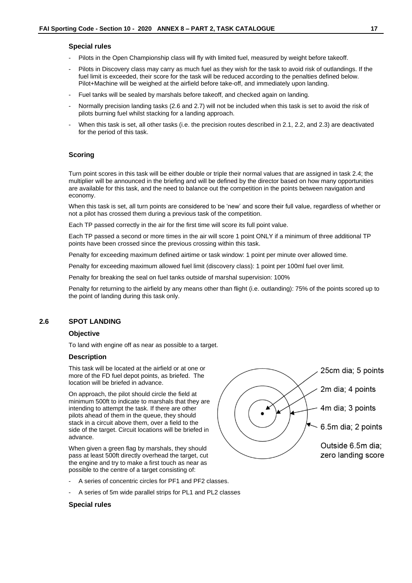#### **Special rules**

- Pilots in the Open Championship class will fly with limited fuel, measured by weight before takeoff.
- Pilots in Discovery class may carry as much fuel as they wish for the task to avoid risk of outlandings. If the fuel limit is exceeded, their score for the task will be reduced according to the penalties defined below. Pilot+Machine will be weighed at the airfield before take-off, and immediately upon landing.
- Fuel tanks will be sealed by marshals before takeoff, and checked again on landing.
- Normally precision landing tasks (2.6 and 2.7) will not be included when this task is set to avoid the risk of pilots burning fuel whilst stacking for a landing approach.
- When this task is set, all other tasks (i.e. the precision routes described in 2.1, 2.2, and 2.3) are deactivated for the period of this task.

#### **Scoring**

Turn point scores in this task will be either double or triple their normal values that are assigned in task 2.4; the multiplier will be announced in the briefing and will be defined by the director based on how many opportunities are available for this task, and the need to balance out the competition in the points between navigation and economy.

When this task is set, all turn points are considered to be 'new' and score their full value, regardless of whether or not a pilot has crossed them during a previous task of the competition.

Each TP passed correctly in the air for the first time will score its full point value.

Each TP passed a second or more times in the air will score 1 point ONLY if a minimum of three additional TP points have been crossed since the previous crossing within this task.

Penalty for exceeding maximum defined airtime or task window: 1 point per minute over allowed time.

Penalty for exceeding maximum allowed fuel limit (discovery class): 1 point per 100ml fuel over limit.

Penalty for breaking the seal on fuel tanks outside of marshal supervision: 100%

Penalty for returning to the airfield by any means other than flight (i.e. outlanding): 75% of the points scored up to the point of landing during this task only.

# <span id="page-18-0"></span>**2.6 SPOT LANDING**

#### **Objective**

To land with engine off as near as possible to a target.

#### **Description**

This task will be located at the airfield or at one or more of the FD fuel depot points, as briefed. The location will be briefed in advance.

On approach, the pilot should circle the field at minimum 500ft to indicate to marshals that they are intending to attempt the task. If there are other pilots ahead of them in the queue, they should stack in a circuit above them, over a field to the side of the target. Circuit locations will be briefed in advance.

When given a green flag by marshals, they should pass at least 500ft directly overhead the target, cut the engine and try to make a first touch as near as possible to the centre of a target consisting of:

- A series of concentric circles for PF1 and PF2 classes.
- A series of 5m wide parallel strips for PL1 and PL2 classes

#### **Special rules**

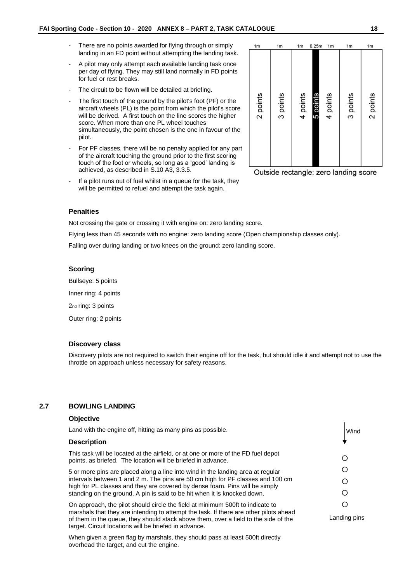- There are no points awarded for flying through or simply landing in an FD point without attempting the landing task.
- A pilot may only attempt each available landing task once per day of flying. They may still land normally in FD points for fuel or rest breaks.
- The circuit to be flown will be detailed at briefing.
- The first touch of the ground by the pilot's foot (PF) or the aircraft wheels (PL) is the point from which the pilot's score will be derived. A first touch on the line scores the higher score. When more than one PL wheel touches simultaneously, the point chosen is the one in favour of the pilot.
- For PF classes, there will be no penalty applied for any part of the aircraft touching the ground prior to the first scoring touch of the foot or wheels, so long as a 'good' landing is achieved, as described in S.10 A3, 3.3.5.
- If a pilot runs out of fuel whilst in a queue for the task, they will be permitted to refuel and attempt the task again.



Outside rectangle: zero landing score

# **Penalties**

Not crossing the gate or crossing it with engine on: zero landing score.

Flying less than 45 seconds with no engine: zero landing score (Open championship classes only).

Falling over during landing or two knees on the ground: zero landing score.

#### **Scoring**

Bullseye: 5 points Inner ring: 4 points 2nd ring: 3 points Outer ring: 2 points

# **Discovery class**

Discovery pilots are not required to switch their engine off for the task, but should idle it and attempt not to use the throttle on approach unless necessary for safety reasons.

# <span id="page-19-0"></span>**2.7 BOWLING LANDING**

#### **Objective** Land with the engine off, hitting as many pins as possible. Wind**Description** This task will be located at the airfield, or at one or more of the FD fuel depot O points, as briefed. The location will be briefed in advance. O 5 or more pins are placed along a line into wind in the landing area at regular intervals between 1 and 2 m. The pins are 50 cm high for PF classes and 100 cm O high for PL classes and they are covered by dense foam. Pins will be simply  $\circ$ standing on the ground. A pin is said to be hit when it is knocked down.  $\circ$ On approach, the pilot should circle the field at minimum 500ft to indicate to marshals that they are intending to attempt the task. If there are other pilots ahead Landing pins of them in the queue, they should stack above them, over a field to the side of the target. Circuit locations will be briefed in advance.

When given a green flag by marshals, they should pass at least 500ft directly overhead the target, and cut the engine.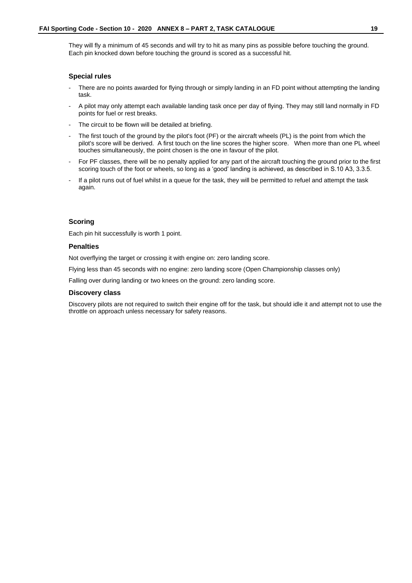They will fly a minimum of 45 seconds and will try to hit as many pins as possible before touching the ground. Each pin knocked down before touching the ground is scored as a successful hit.

#### **Special rules**

- There are no points awarded for flying through or simply landing in an FD point without attempting the landing task.
- A pilot may only attempt each available landing task once per day of flying. They may still land normally in FD points for fuel or rest breaks.
- The circuit to be flown will be detailed at briefing.
- The first touch of the ground by the pilot's foot (PF) or the aircraft wheels (PL) is the point from which the pilot's score will be derived. A first touch on the line scores the higher score. When more than one PL wheel touches simultaneously, the point chosen is the one in favour of the pilot.
- For PF classes, there will be no penalty applied for any part of the aircraft touching the ground prior to the first scoring touch of the foot or wheels, so long as a 'good' landing is achieved, as described in S.10 A3, 3.3.5.
- If a pilot runs out of fuel whilst in a queue for the task, they will be permitted to refuel and attempt the task again.

# **Scoring**

Each pin hit successfully is worth 1 point.

# **Penalties**

Not overflying the target or crossing it with engine on: zero landing score.

Flying less than 45 seconds with no engine: zero landing score (Open Championship classes only)

Falling over during landing or two knees on the ground: zero landing score.

#### **Discovery class**

Discovery pilots are not required to switch their engine off for the task, but should idle it and attempt not to use the throttle on approach unless necessary for safety reasons.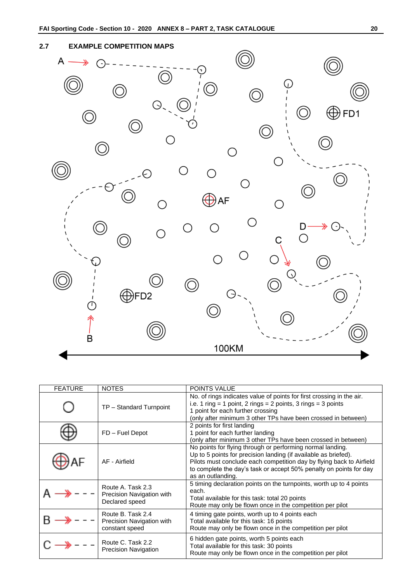# <span id="page-21-0"></span>**2.7 EXAMPLE COMPETITION MAPS**



| <b>FEATURE</b> | <b>NOTES</b>                                                     | <b>POINTS VALUE</b>                                                                                                                                                                                                                                                                              |  |  |  |
|----------------|------------------------------------------------------------------|--------------------------------------------------------------------------------------------------------------------------------------------------------------------------------------------------------------------------------------------------------------------------------------------------|--|--|--|
|                | TP - Standard Turnpoint                                          | No. of rings indicates value of points for first crossing in the air.<br>i.e. 1 ring = 1 point, 2 rings = 2 points, 3 rings = 3 points<br>1 point for each further crossing<br>(only after minimum 3 other TPs have been crossed in between)                                                     |  |  |  |
|                | FD - Fuel Depot                                                  | 2 points for first landing<br>1 point for each further landing<br>(only after minimum 3 other TPs have been crossed in between)                                                                                                                                                                  |  |  |  |
|                | AF - Airfield                                                    | No points for flying through or performing normal landing.<br>Up to 5 points for precision landing (if available as briefed).<br>Pilots must conclude each competition day by flying back to Airfield<br>to complete the day's task or accept 50% penalty on points for day<br>as an outlanding. |  |  |  |
|                | Route A. Task 2.3<br>Precision Navigation with<br>Declared speed | 5 timing declaration points on the turnpoints, worth up to 4 points<br>each.<br>Total available for this task: total 20 points<br>Route may only be flown once in the competition per pilot                                                                                                      |  |  |  |
|                | Route B. Task 2.4<br>Precision Navigation with<br>constant speed | 4 timing gate points, worth up to 4 points each<br>Total available for this task: 16 points<br>Route may only be flown once in the competition per pilot                                                                                                                                         |  |  |  |
|                | Route C. Task 2.2<br><b>Precision Navigation</b>                 | 6 hidden gate points, worth 5 points each<br>Total available for this task: 30 points<br>Route may only be flown once in the competition per pilot                                                                                                                                               |  |  |  |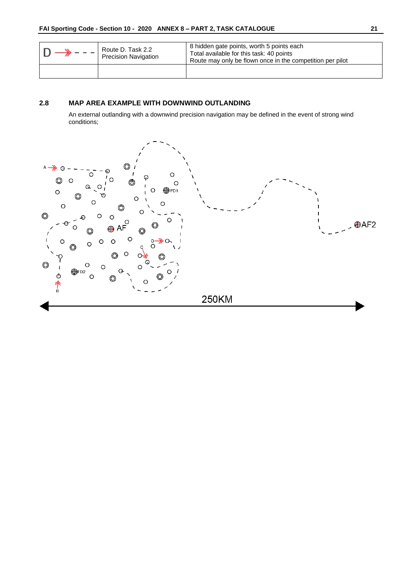| Route D. Task 2.2<br><b>Precision Navigation</b> | 8 hidden gate points, worth 5 points each<br>Total available for this task: 40 points<br>Route may only be flown once in the competition per pilot |  |  |
|--------------------------------------------------|----------------------------------------------------------------------------------------------------------------------------------------------------|--|--|
|                                                  |                                                                                                                                                    |  |  |

# <span id="page-22-0"></span>**2.8 MAP AREA EXAMPLE WITH DOWNWIND OUTLANDING**

An external outlanding with a downwind precision navigation may be defined in the event of strong wind conditions;

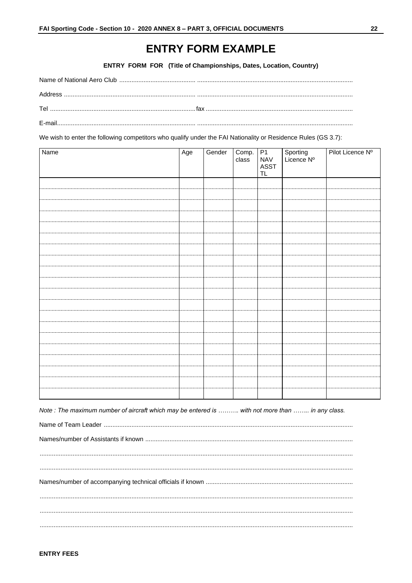# **ENTRY FORM EXAMPLE**

ENTRY FORM FOR (Title of Championships, Dates, Location, Country)

<span id="page-23-0"></span>

We wish to enter the following competitors who qualify under the FAI Nationality or Residence Rules (GS 3.7):

| Name | Age | Gender | Comp. P1<br>class NAV | ASST<br>TL | Sporting<br>Licence Nº | Pilot Licence Nº |
|------|-----|--------|-----------------------|------------|------------------------|------------------|
|      |     |        |                       |            |                        |                  |
|      |     |        |                       |            |                        |                  |
|      |     |        |                       |            |                        |                  |
|      |     |        |                       |            |                        |                  |
|      |     |        |                       |            |                        |                  |
|      |     |        |                       |            |                        |                  |
|      |     |        |                       |            |                        |                  |
|      |     |        |                       |            |                        |                  |
|      |     |        |                       |            |                        |                  |
|      |     |        |                       |            |                        |                  |
|      |     |        |                       |            |                        |                  |
|      |     |        |                       |            |                        |                  |
|      |     |        |                       |            |                        |                  |
|      |     |        |                       |            |                        |                  |
|      |     |        |                       |            |                        |                  |
|      |     |        |                       |            |                        |                  |
|      |     |        |                       |            |                        |                  |
|      |     |        |                       |            |                        |                  |
|      |     |        |                       |            |                        |                  |
|      |     |        |                       |            |                        |                  |

Note : The maximum number of aircraft which may be entered is ......... with not more than ........ in any class.